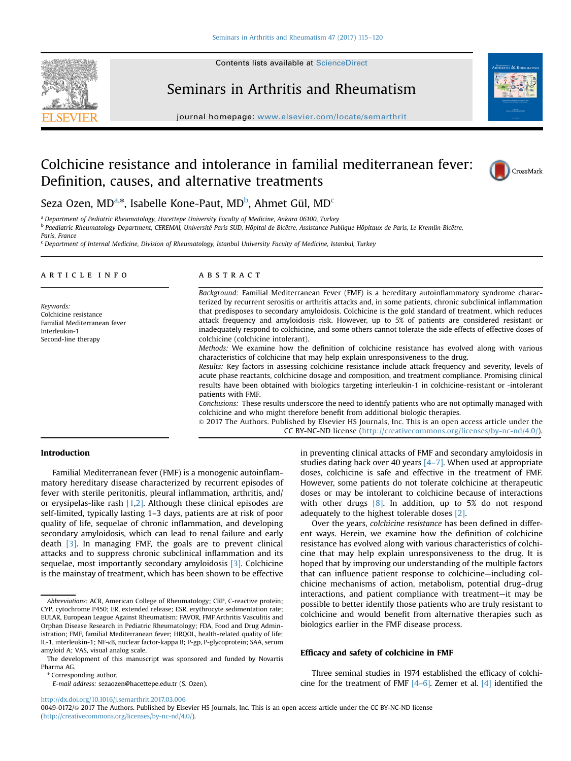





journal homepage: <www.elsevier.com/locate/semarthrit>

# Colchicine resistance and intolerance in familial mediterranean fever: Definition, causes, and alternative treatments



# Seza Ozen, MD<sup>a,\*</sup>, Isabelle Kone-Paut, MD<sup>b</sup>, Ahmet Gül, MD<sup>c</sup>

<sup>a</sup> Department of Pediatric Rheumatology, Hacettepe University Faculty of Medicine, Ankara 06100, Turkey <sup>b</sup> Paediatric Rheumatology Department, CEREMAI, Université Paris SUD, Hôpital de Bicêtre, Assistance Publique Hôpitaux de Paris, Le Kremlin Bicêtre,

Paris, France

 $c$  Department of Internal Medicine, Division of Rheumatology, Istanbul University Faculty of Medicine, Istanbul, Turkey

## article info

Keywords: Colchicine resistance Familial Mediterranean fever Interleukin-1 Second-line therapy

#### **ABSTRACT**

Background: Familial Mediterranean Fever (FMF) is a hereditary autoinflammatory syndrome characterized by recurrent serositis or arthritis attacks and, in some patients, chronic subclinical inflammation that predisposes to secondary amyloidosis. Colchicine is the gold standard of treatment, which reduces attack frequency and amyloidosis risk. However, up to 5% of patients are considered resistant or inadequately respond to colchicine, and some others cannot tolerate the side effects of effective doses of colchicine (colchicine intolerant).

Methods: We examine how the definition of colchicine resistance has evolved along with various characteristics of colchicine that may help explain unresponsiveness to the drug.

Results: Key factors in assessing colchicine resistance include attack frequency and severity, levels of acute phase reactants, colchicine dosage and composition, and treatment compliance. Promising clinical results have been obtained with biologics targeting interleukin-1 in colchicine-resistant or -intolerant patients with FMF.

Conclusions: These results underscore the need to identify patients who are not optimally managed with colchicine and who might therefore benefit from additional biologic therapies.

& 2017 The Authors. Published by Elsevier HS Journals, Inc. This is an open access article under the CC BY-NC-ND license (http://creativecommons.org/licenses/by-nc-nd/4.0/).

#### Introduction

Familial Mediterranean fever (FMF) is a monogenic autoinflammatory hereditary disease characterized by recurrent episodes of fever with sterile peritonitis, pleural inflammation, arthritis, and/ or erysipelas-like rash  $[1,2]$ . Although these clinical episodes are self-limited, typically lasting 1–3 days, patients are at risk of poor quality of life, sequelae of chronic inflammation, and developing secondary amyloidosis, which can lead to renal failure and early death [\[3\]](#page-4-0). In managing FMF, the goals are to prevent clinical attacks and to suppress chronic subclinical inflammation and its sequelae, most importantly secondary amyloidosis [\[3\].](#page-4-0) Colchicine is the mainstay of treatment, which has been shown to be effective

Corresponding author.

E-mail address: [sezaozen@hacettepe.edu.tr \(S. Ozen\)](mailto:sezaozen@hacettepe.edu.tr).

<http://dx.doi.org/10.1016/j.semarthrit.2017.03.006>

in preventing clinical attacks of FMF and secondary amyloidosis in studies dating back over 40 years  $[4-7]$  $[4-7]$  $[4-7]$ . When used at appropriate doses, colchicine is safe and effective in the treatment of FMF. However, some patients do not tolerate colchicine at therapeutic doses or may be intolerant to colchicine because of interactions with other drugs  $[8]$ . In addition, up to 5% do not respond adequately to the highest tolerable doses [\[2\].](#page-4-0)

Over the years, colchicine resistance has been defined in different ways. Herein, we examine how the definition of colchicine resistance has evolved along with various characteristics of colchicine that may help explain unresponsiveness to the drug. It is hoped that by improving our understanding of the multiple factors that can influence patient response to colchicine—including colchicine mechanisms of action, metabolism, potential drug–drug interactions, and patient compliance with treatment—it may be possible to better identify those patients who are truly resistant to colchicine and would benefit from alternative therapies such as biologics earlier in the FMF disease process.

#### Efficacy and safety of colchicine in FMF

Three seminal studies in 1974 established the efficacy of colchicine for the treatment of FMF  $[4-6]$  $[4-6]$  $[4-6]$ . Zemer et al.  $[4]$  identified the

Abbreviations: ACR, American College of Rheumatology; CRP, C-reactive protein; CYP, cytochrome P450; ER, extended release; ESR, erythrocyte sedimentation rate; EULAR, European League Against Rheumatism; FAVOR, FMF Arthritis Vasculitis and Orphan Disease Research in Pediatric Rheumatology; FDA, Food and Drug Administration; FMF, familial Mediterranean fever; HRQOL, health-related quality of life; IL-1, interleukin-1; NF-κB, nuclear factor-kappa B; P-gp, P-glycoprotein; SAA, serum amyloid A; VAS, visual analog scale.

The development of this manuscript was sponsored and funded by Novartis Pharma AG.

<sup>0049-0172/</sup>& 2017 The Authors. Published by Elsevier HS Journals, Inc. This is an open access article under the CC BY-NC-ND license (http://creativecommons.org/licenses/by-nc-nd/4.0/).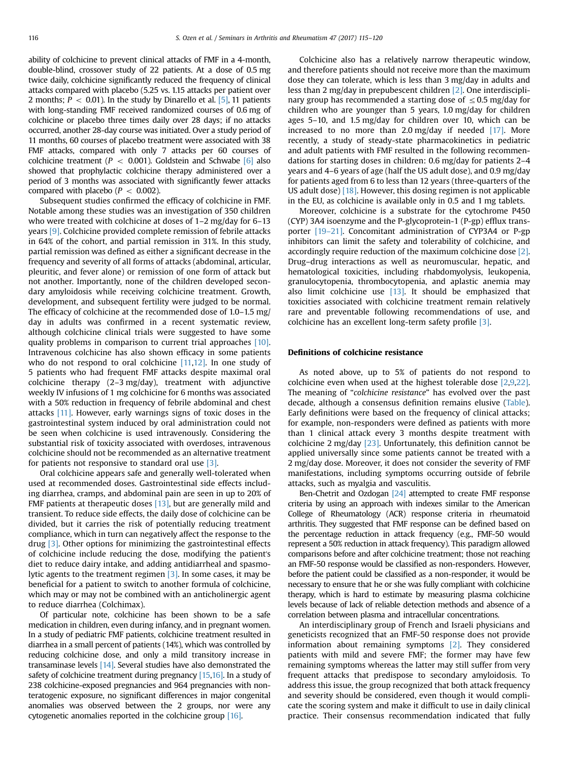ability of colchicine to prevent clinical attacks of FMF in a 4-month, double-blind, crossover study of 22 patients. At a dose of 0.5 mg twice daily, colchicine significantly reduced the frequency of clinical attacks compared with placebo (5.25 vs. 1.15 attacks per patient over 2 months;  $P < 0.01$ ). In the study by Dinarello et al. [\[5\]](#page-4-0), 11 patients with long-standing FMF received randomized courses of 0.6 mg of colchicine or placebo three times daily over 28 days; if no attacks occurred, another 28-day course was initiated. Over a study period of 11 months, 60 courses of placebo treatment were associated with 38 FMF attacks, compared with only 7 attacks per 60 courses of colchicine treatment ( $P < 0.001$ ). Goldstein and Schwabe [\[6\]](#page-4-0) also showed that prophylactic colchicine therapy administered over a period of 3 months was associated with significantly fewer attacks compared with placebo ( $P < 0.002$ ).

Subsequent studies confirmed the efficacy of colchicine in FMF. Notable among these studies was an investigation of 350 children who were treated with colchicine at doses of 1–2 mg/day for 6–13 years [\[9\]](#page-4-0). Colchicine provided complete remission of febrile attacks in 64% of the cohort, and partial remission in 31%. In this study, partial remission was defined as either a significant decrease in the frequency and severity of all forms of attacks (abdominal, articular, pleuritic, and fever alone) or remission of one form of attack but not another. Importantly, none of the children developed secondary amyloidosis while receiving colchicine treatment. Growth, development, and subsequent fertility were judged to be normal. The efficacy of colchicine at the recommended dose of 1.0–1.5 mg/ day in adults was confirmed in a recent systematic review, although colchicine clinical trials were suggested to have some quality problems in comparison to current trial approaches [\[10\].](#page-5-0) Intravenous colchicine has also shown efficacy in some patients who do not respond to oral colchicine  $[11,12]$ . In one study of 5 patients who had frequent FMF attacks despite maximal oral colchicine therapy (2–3 mg/day), treatment with adjunctive weekly IV infusions of 1 mg colchicine for 6 months was associated with a 50% reduction in frequency of febrile abdominal and chest attacks [\[11\]](#page-5-0). However, early warnings signs of toxic doses in the gastrointestinal system induced by oral administration could not be seen when colchicine is used intravenously. Considering the substantial risk of toxicity associated with overdoses, intravenous colchicine should not be recommended as an alternative treatment for patients not responsive to standard oral use [\[3\].](#page-4-0)

Oral colchicine appears safe and generally well-tolerated when used at recommended doses. Gastrointestinal side effects including diarrhea, cramps, and abdominal pain are seen in up to 20% of FMF patients at therapeutic doses [\[13\],](#page-5-0) but are generally mild and transient. To reduce side effects, the daily dose of colchicine can be divided, but it carries the risk of potentially reducing treatment compliance, which in turn can negatively affect the response to the drug [\[3\].](#page-4-0) Other options for minimizing the gastrointestinal effects of colchicine include reducing the dose, modifying the patient's diet to reduce dairy intake, and adding antidiarrheal and spasmolytic agents to the treatment regimen [\[3\].](#page-4-0) In some cases, it may be beneficial for a patient to switch to another formula of colchicine, which may or may not be combined with an anticholinergic agent to reduce diarrhea (Colchimax).

Of particular note, colchicine has been shown to be a safe medication in children, even during infancy, and in pregnant women. In a study of pediatric FMF patients, colchicine treatment resulted in diarrhea in a small percent of patients (14%), which was controlled by reducing colchicine dose, and only a mild transitory increase in transaminase levels [\[14\]](#page-5-0). Several studies have also demonstrated the safety of colchicine treatment during pregnancy [\[15,16\].](#page-5-0) In a study of 238 colchicine-exposed pregnancies and 964 pregnancies with nonteratogenic exposure, no significant differences in major congenital anomalies was observed between the 2 groups, nor were any cytogenetic anomalies reported in the colchicine group [\[16\].](#page-5-0)

Colchicine also has a relatively narrow therapeutic window, and therefore patients should not receive more than the maximum dose they can tolerate, which is less than 3 mg/day in adults and less than 2 mg/day in prepubescent children [\[2\]](#page-4-0). One interdisciplinary group has recommended a starting dose of  $\leq$  0.5 mg/day for children who are younger than 5 years, 1.0 mg/day for children ages 5–10, and 1.5 mg/day for children over 10, which can be increased to no more than 2.0 mg/day if needed [\[17\]](#page-5-0). More recently, a study of steady-state pharmacokinetics in pediatric and adult patients with FMF resulted in the following recommendations for starting doses in children: 0.6 mg/day for patients 2–4 years and 4–6 years of age (half the US adult dose), and 0.9 mg/day for patients aged from 6 to less than 12 years (three-quarters of the US adult dose) [\[18\]](#page-5-0). However, this dosing regimen is not applicable in the EU, as colchicine is available only in 0.5 and 1 mg tablets.

Moreover, colchicine is a substrate for the cytochrome P450 (CYP) 3A4 isoenzyme and the P-glycoprotein-1 (P-gp) efflux transporter [\[19](#page-5-0)–[21\]](#page-5-0). Concomitant administration of CYP3A4 or P-gp inhibitors can limit the safety and tolerability of colchicine, and accordingly require reduction of the maximum colchicine dose [\[2\].](#page-4-0) Drug–drug interactions as well as neuromuscular, hepatic, and hematological toxicities, including rhabdomyolysis, leukopenia, granulocytopenia, thrombocytopenia, and aplastic anemia may also limit colchicine use  $[13]$ . It should be emphasized that toxicities associated with colchicine treatment remain relatively rare and preventable following recommendations of use, and colchicine has an excellent long-term safety profile [\[3\]](#page-4-0).

#### Definitions of colchicine resistance

As noted above, up to 5% of patients do not respond to colchicine even when used at the highest tolerable dose [\[2,9](#page-4-0)[,22\].](#page-5-0) The meaning of "colchicine resistance" has evolved over the past decade, although a consensus definition remains elusive ([Table\)](#page-2-0). Early definitions were based on the frequency of clinical attacks; for example, non-responders were defined as patients with more than 1 clinical attack every 3 months despite treatment with colchicine 2 mg/day [\[23\]](#page-5-0). Unfortunately, this definition cannot be applied universally since some patients cannot be treated with a 2 mg/day dose. Moreover, it does not consider the severity of FMF manifestations, including symptoms occurring outside of febrile attacks, such as myalgia and vasculitis.

Ben-Chetrit and Ozdogan [\[24\]](#page-5-0) attempted to create FMF response criteria by using an approach with indexes similar to the American College of Rheumatology (ACR) response criteria in rheumatoid arthritis. They suggested that FMF response can be defined based on the percentage reduction in attack frequency (e.g., FMF-50 would represent a 50% reduction in attack frequency). This paradigm allowed comparisons before and after colchicine treatment; those not reaching an FMF-50 response would be classified as non-responders. However, before the patient could be classified as a non-responder, it would be necessary to ensure that he or she was fully compliant with colchicine therapy, which is hard to estimate by measuring plasma colchicine levels because of lack of reliable detection methods and absence of a correlation between plasma and intracellular concentrations.

An interdisciplinary group of French and Israeli physicians and geneticists recognized that an FMF-50 response does not provide information about remaining symptoms [\[2\]](#page-4-0). They considered patients with mild and severe FMF; the former may have few remaining symptoms whereas the latter may still suffer from very frequent attacks that predispose to secondary amyloidosis. To address this issue, the group recognized that both attack frequency and severity should be considered, even though it would complicate the scoring system and make it difficult to use in daily clinical practice. Their consensus recommendation indicated that fully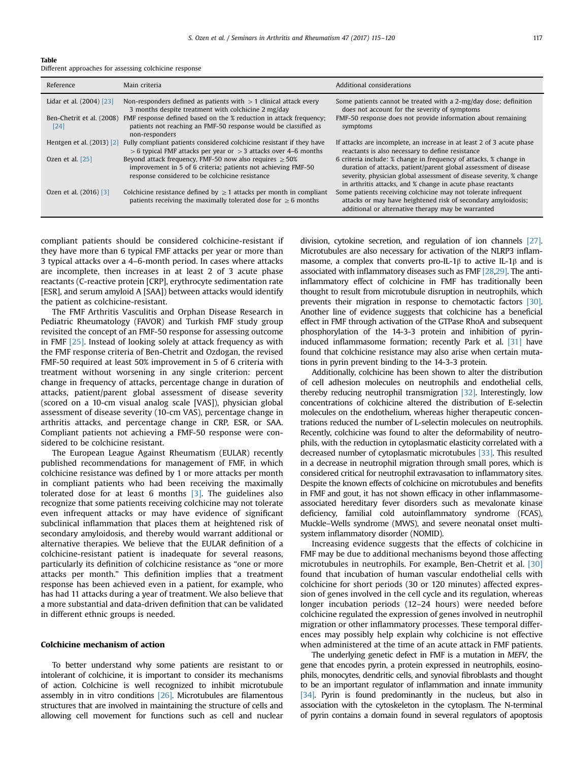#### <span id="page-2-0"></span>Table

Different approaches for assessing colchicine response

| Reference                         | Main criteria                                                                                                                                                                     | Additional considerations                                                                                                                                                                                                                                                   |
|-----------------------------------|-----------------------------------------------------------------------------------------------------------------------------------------------------------------------------------|-----------------------------------------------------------------------------------------------------------------------------------------------------------------------------------------------------------------------------------------------------------------------------|
| Lidar et al. (2004) [23]          | Non-responders defined as patients with $>$ 1 clinical attack every<br>3 months despite treatment with colchicine 2 mg/day                                                        | Some patients cannot be treated with a 2-mg/day dose; definition<br>does not account for the severity of symptoms                                                                                                                                                           |
| Ben-Chetrit et al. (2008)<br>[24] | FMF response defined based on the % reduction in attack frequency;<br>patients not reaching an FMF-50 response would be classified as<br>non-responders                           | FMF-50 response does not provide information about remaining<br>symptoms                                                                                                                                                                                                    |
| Hentgen et al. (2013) [2]         | Fully compliant patients considered colchicine resistant if they have<br>$>$ 6 typical FMF attacks per year or $>$ 3 attacks over 4–6 months                                      | If attacks are incomplete, an increase in at least 2 of 3 acute phase<br>reactants is also necessary to define resistance                                                                                                                                                   |
| Ozen et al. $[25]$                | Beyond attack frequency, FMF-50 now also requires $\geq 50\%$<br>improvement in 5 of 6 criteria; patients not achieving FMF-50<br>response considered to be colchicine resistance | 6 criteria include: % change in frequency of attacks, % change in<br>duration of attacks, patient/parent global assessment of disease<br>severity, physician global assessment of disease severity, % change<br>in arthritis attacks, and % change in acute phase reactants |
| Ozen et al. (2016) [3]            | Colchicine resistance defined by $\geq 1$ attacks per month in compliant<br>patients receiving the maximally tolerated dose for $\geq 6$ months                                   | Some patients receiving colchicine may not tolerate infrequent<br>attacks or may have heightened risk of secondary amyloidosis;<br>additional or alternative therapy may be warranted                                                                                       |

compliant patients should be considered colchicine-resistant if they have more than 6 typical FMF attacks per year or more than 3 typical attacks over a 4–6-month period. In cases where attacks are incomplete, then increases in at least 2 of 3 acute phase reactants (C-reactive protein [CRP], erythrocyte sedimentation rate [ESR], and serum amyloid A [SAA]) between attacks would identify the patient as colchicine-resistant.

The FMF Arthritis Vasculitis and Orphan Disease Research in Pediatric Rheumatology (FAVOR) and Turkish FMF study group revisited the concept of an FMF-50 response for assessing outcome in FMF [\[25\]](#page-5-0). Instead of looking solely at attack frequency as with the FMF response criteria of Ben-Chetrit and Ozdogan, the revised FMF-50 required at least 50% improvement in 5 of 6 criteria with treatment without worsening in any single criterion: percent change in frequency of attacks, percentage change in duration of attacks, patient/parent global assessment of disease severity (scored on a 10-cm visual analog scale [VAS]), physician global assessment of disease severity (10-cm VAS), percentage change in arthritis attacks, and percentage change in CRP, ESR, or SAA. Compliant patients not achieving a FMF-50 response were considered to be colchicine resistant.

The European League Against Rheumatism (EULAR) recently published recommendations for management of FMF, in which colchicine resistance was defined by 1 or more attacks per month in compliant patients who had been receiving the maximally tolerated dose for at least 6 months  $\left[3\right]$ . The guidelines also recognize that some patients receiving colchicine may not tolerate even infrequent attacks or may have evidence of significant subclinical inflammation that places them at heightened risk of secondary amyloidosis, and thereby would warrant additional or alternative therapies. We believe that the EULAR definition of a colchicine-resistant patient is inadequate for several reasons, particularly its definition of colchicine resistance as "one or more attacks per month." This definition implies that a treatment response has been achieved even in a patient, for example, who has had 11 attacks during a year of treatment. We also believe that a more substantial and data-driven definition that can be validated in different ethnic groups is needed.

#### Colchicine mechanism of action

To better understand why some patients are resistant to or intolerant of colchicine, it is important to consider its mechanisms of action. Colchicine is well recognized to inhibit microtubule assembly in in vitro conditions [\[26\].](#page-5-0) Microtubules are filamentous structures that are involved in maintaining the structure of cells and allowing cell movement for functions such as cell and nuclear division, cytokine secretion, and regulation of ion channels [\[27\].](#page-5-0) Microtubules are also necessary for activation of the NLRP3 inflammasome, a complex that converts pro-IL-1 $\beta$  to active IL-1 $\beta$  and is associated with inflammatory diseases such as FMF [\[28,29\].](#page-5-0) The antiinflammatory effect of colchicine in FMF has traditionally been thought to result from microtubule disruption in neutrophils, which prevents their migration in response to chemotactic factors [\[30\].](#page-5-0) Another line of evidence suggests that colchicine has a beneficial effect in FMF through activation of the GTPase RhoA and subsequent phosphorylation of the 14-3-3 protein and inhibition of pyrininduced inflammasome formation; recently Park et al. [\[31\]](#page-5-0) have found that colchicine resistance may also arise when certain mutations in pyrin prevent binding to the 14-3-3 protein.

Additionally, colchicine has been shown to alter the distribution of cell adhesion molecules on neutrophils and endothelial cells, thereby reducing neutrophil transmigration [\[32\].](#page-5-0) Interestingly, low concentrations of colchicine altered the distribution of E-selectin molecules on the endothelium, whereas higher therapeutic concentrations reduced the number of L-selectin molecules on neutrophils. Recently, colchicine was found to alter the deformability of neutrophils, with the reduction in cytoplasmatic elasticity correlated with a decreased number of cytoplasmatic microtubules [\[33\]](#page-5-0). This resulted in a decrease in neutrophil migration through small pores, which is considered critical for neutrophil extravasation to inflammatory sites. Despite the known effects of colchicine on microtubules and benefits in FMF and gout, it has not shown efficacy in other inflammasomeassociated hereditary fever disorders such as mevalonate kinase deficiency, familial cold autoinflammatory syndrome (FCAS), Muckle–Wells syndrome (MWS), and severe neonatal onset multisystem inflammatory disorder (NOMID).

Increasing evidence suggests that the effects of colchicine in FMF may be due to additional mechanisms beyond those affecting microtubules in neutrophils. For example, Ben-Chetrit et al. [\[30\]](#page-5-0) found that incubation of human vascular endothelial cells with colchicine for short periods (30 or 120 minutes) affected expression of genes involved in the cell cycle and its regulation, whereas longer incubation periods (12–24 hours) were needed before colchicine regulated the expression of genes involved in neutrophil migration or other inflammatory processes. These temporal differences may possibly help explain why colchicine is not effective when administered at the time of an acute attack in FMF patients.

The underlying genetic defect in FMF is a mutation in MEFV, the gene that encodes pyrin, a protein expressed in neutrophils, eosinophils, monocytes, dendritic cells, and synovial fibroblasts and thought to be an important regulator of inflammation and innate immunity [\[34\].](#page-5-0) Pyrin is found predominantly in the nucleus, but also in association with the cytoskeleton in the cytoplasm. The N-terminal of pyrin contains a domain found in several regulators of apoptosis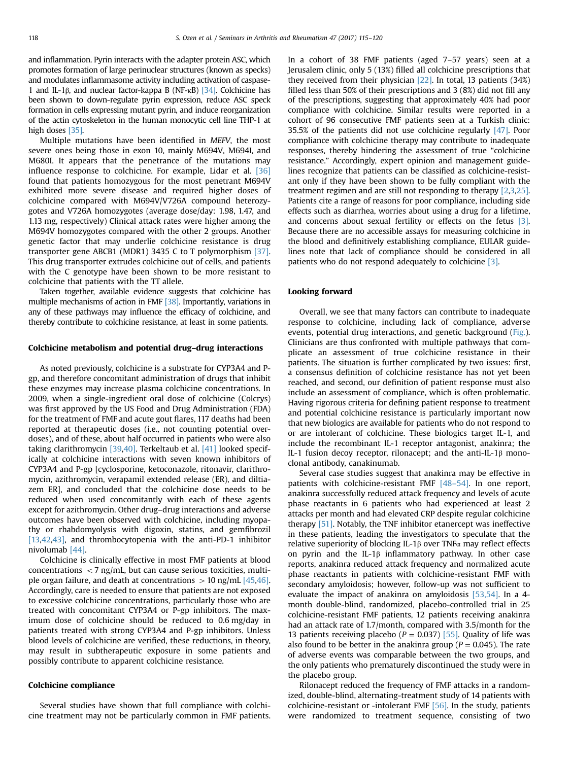and inflammation. Pyrin interacts with the adapter protein ASC, which promotes formation of large perinuclear structures (known as specks) and modulates inflammasome activity including activation of caspase-1 and IL-1β, and nuclear factor-kappa B (NF-κB) [\[34\]](#page-5-0). Colchicine has been shown to down-regulate pyrin expression, reduce ASC speck formation in cells expressing mutant pyrin, and induce reorganization of the actin cytoskeleton in the human monocytic cell line THP-1 at high doses [\[35\]](#page-5-0).

Multiple mutations have been identified in MEFV, the most severe ones being those in exon 10, mainly M694V, M694I, and M680I. It appears that the penetrance of the mutations may influence response to colchicine. For example, Lidar et al. [\[36\]](#page-5-0) found that patients homozygous for the most penetrant M694V exhibited more severe disease and required higher doses of colchicine compared with M694V/V726A compound heterozygotes and V726A homozygotes (average dose/day: 1.98, 1.47, and 1.13 mg, respectively) Clinical attack rates were higher among the M694V homozygotes compared with the other 2 groups. Another genetic factor that may underlie colchicine resistance is drug transporter gene ABCB1 (MDR1) 3435 C to T polymorphism [\[37\].](#page-5-0) This drug transporter extrudes colchicine out of cells, and patients with the C genotype have been shown to be more resistant to colchicine that patients with the TT allele.

Taken together, available evidence suggests that colchicine has multiple mechanisms of action in FMF [\[38\].](#page-5-0) Importantly, variations in any of these pathways may influence the efficacy of colchicine, and thereby contribute to colchicine resistance, at least in some patients.

#### Colchicine metabolism and potential drug–drug interactions

As noted previously, colchicine is a substrate for CYP3A4 and Pgp, and therefore concomitant administration of drugs that inhibit these enzymes may increase plasma colchicine concentrations. In 2009, when a single-ingredient oral dose of colchicine (Colcrys) was first approved by the US Food and Drug Administration (FDA) for the treatment of FMF and acute gout flares, 117 deaths had been reported at therapeutic doses (i.e., not counting potential overdoses), and of these, about half occurred in patients who were also taking clarithromycin [\[39,40\]](#page-5-0). Terkeltaub et al. [\[41\]](#page-5-0) looked specifically at colchicine interactions with seven known inhibitors of CYP3A4 and P-gp [cyclosporine, ketoconazole, ritonavir, clarithromycin, azithromycin, verapamil extended release (ER), and diltiazem ER], and concluded that the colchicine dose needs to be reduced when used concomitantly with each of these agents except for azithromycin. Other drug–drug interactions and adverse outcomes have been observed with colchicine, including myopathy or rhabdomyolysis with digoxin, statins, and gemfibrozil [\[13,42,43\]](#page-5-0), and thrombocytopenia with the anti-PD-1 inhibitor nivolumab [\[44\]](#page-5-0).

Colchicine is clinically effective in most FMF patients at blood concentrations  $<$  7 ng/mL, but can cause serious toxicities, multiple organ failure, and death at concentrations  $> 10$  ng/mL [\[45,46\].](#page-5-0) Accordingly, care is needed to ensure that patients are not exposed to excessive colchicine concentrations, particularly those who are treated with concomitant CYP3A4 or P-gp inhibitors. The maximum dose of colchicine should be reduced to 0.6 mg/day in patients treated with strong CYP3A4 and P-gp inhibitors. Unless blood levels of colchicine are verified, these reductions, in theory, may result in subtherapeutic exposure in some patients and possibly contribute to apparent colchicine resistance.

#### Colchicine compliance

Several studies have shown that full compliance with colchicine treatment may not be particularly common in FMF patients. In a cohort of 38 FMF patients (aged 7–57 years) seen at a Jerusalem clinic, only 5 (13%) filled all colchicine prescriptions that they received from their physician [\[22\]](#page-5-0). In total, 13 patients (34%) filled less than 50% of their prescriptions and 3 (8%) did not fill any of the prescriptions, suggesting that approximately 40% had poor compliance with colchicine. Similar results were reported in a cohort of 96 consecutive FMF patients seen at a Turkish clinic: 35.5% of the patients did not use colchicine regularly [\[47\].](#page-5-0) Poor compliance with colchicine therapy may contribute to inadequate responses, thereby hindering the assessment of true "colchicine resistance." Accordingly, expert opinion and management guidelines recognize that patients can be classified as colchicine-resistant only if they have been shown to be fully compliant with the treatment regimen and are still not responding to therapy [\[2,3](#page-4-0)[,25\].](#page-5-0) Patients cite a range of reasons for poor compliance, including side effects such as diarrhea, worries about using a drug for a lifetime, and concerns about sexual fertility or effects on the fetus [\[3\].](#page-4-0) Because there are no accessible assays for measuring colchicine in the blood and definitively establishing compliance, EULAR guidelines note that lack of compliance should be considered in all patients who do not respond adequately to colchicine [\[3\]](#page-4-0).

#### Looking forward

Overall, we see that many factors can contribute to inadequate response to colchicine, including lack of compliance, adverse events, potential drug interactions, and genetic background ([Fig.\)](#page-4-0). Clinicians are thus confronted with multiple pathways that complicate an assessment of true colchicine resistance in their patients. The situation is further complicated by two issues: first, a consensus definition of colchicine resistance has not yet been reached, and second, our definition of patient response must also include an assessment of compliance, which is often problematic. Having rigorous criteria for defining patient response to treatment and potential colchicine resistance is particularly important now that new biologics are available for patients who do not respond to or are intolerant of colchicine. These biologics target IL-1, and include the recombinant IL-1 receptor antagonist, anakinra; the IL-1 fusion decoy receptor, rilonacept; and the anti-IL-1β monoclonal antibody, canakinumab.

Several case studies suggest that anakinra may be effective in patients with colchicine-resistant FMF  $[48-54]$ . In one report, anakinra successfully reduced attack frequency and levels of acute phase reactants in 6 patients who had experienced at least 2 attacks per month and had elevated CRP despite regular colchicine therapy [\[51\]](#page-5-0). Notably, the TNF inhibitor etanercept was ineffective in these patients, leading the investigators to speculate that the relative superiority of blocking IL-1β over TNFα may reflect effects on pyrin and the IL-1β inflammatory pathway. In other case reports, anakinra reduced attack frequency and normalized acute phase reactants in patients with colchicine-resistant FMF with secondary amyloidosis; however, follow-up was not sufficient to evaluate the impact of anakinra on amyloidosis [\[53,54\]](#page-5-0). In a 4 month double-blind, randomized, placebo-controlled trial in 25 colchicine-resistant FMF patients, 12 patients receiving anakinra had an attack rate of 1.7/month, compared with 3.5/month for the 13 patients receiving placebo ( $P = 0.037$ ) [\[55\]](#page-5-0). Quality of life was also found to be better in the anakinra group ( $P = 0.045$ ). The rate of adverse events was comparable between the two groups, and the only patients who prematurely discontinued the study were in the placebo group.

Rilonacept reduced the frequency of FMF attacks in a randomized, double-blind, alternating-treatment study of 14 patients with colchicine-resistant or -intolerant FMF [\[56\].](#page-5-0) In the study, patients were randomized to treatment sequence, consisting of two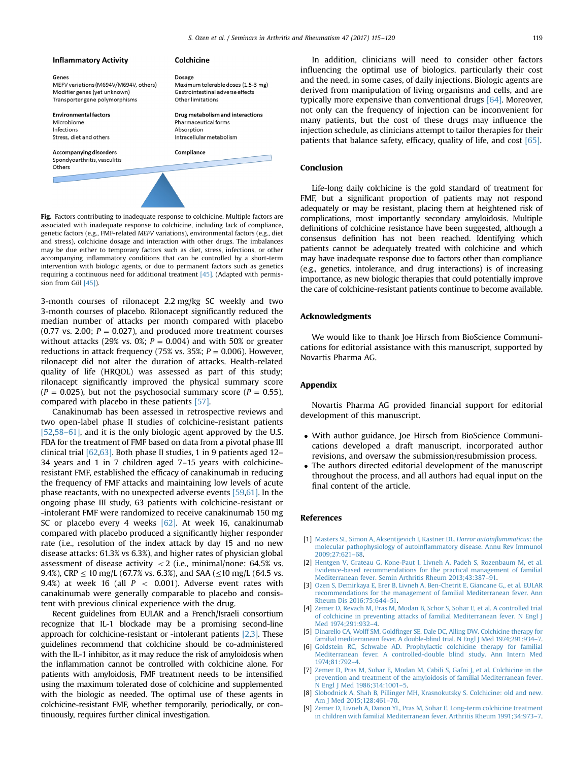<span id="page-4-0"></span>

Fig. Factors contributing to inadequate response to colchicine. Multiple factors are associated with inadequate response to colchicine, including lack of compliance, genetic factors (e.g., FMF-related MEFV variations), environmental factors (e.g., diet and stress), colchicine dosage and interaction with other drugs. The imbalances may be due either to temporary factors such as diet, stress, infections, or other accompanying inflammatory conditions that can be controlled by a short-term intervention with biologic agents, or due to permanent factors such as genetics requiring a continuous need for additional treatment [\[45\].](#page-5-0) (Adapted with permission from Gül [\[45\]](#page-5-0)).

3-month courses of rilonacept 2.2 mg/kg SC weekly and two 3-month courses of placebo. Rilonacept significantly reduced the median number of attacks per month compared with placebo (0.77 vs. 2.00;  $P = 0.027$ ), and produced more treatment courses without attacks (29% vs. 0%;  $P = 0.004$ ) and with 50% or greater reductions in attack frequency (75% vs. 35%;  $P = 0.006$ ). However, rilonacept did not alter the duration of attacks. Health-related quality of life (HRQOL) was assessed as part of this study; rilonacept significantly improved the physical summary score  $(P = 0.025)$ , but not the psychosocial summary score  $(P = 0.55)$ , compared with placebo in these patients [\[57\].](#page-5-0)

Canakinumab has been assessed in retrospective reviews and two open-label phase II studies of colchicine-resistant patients [\[52,](#page-5-0)58[–](#page-5-0)[61\]](#page-5-0), and it is the only biologic agent approved by the U.S. FDA for the treatment of FMF based on data from a pivotal phase III clinical trial [\[62,63\]](#page-5-0). Both phase II studies, 1 in 9 patients aged 12– 34 years and 1 in 7 children aged 7–15 years with colchicineresistant FMF, established the efficacy of canakinumab in reducing the frequency of FMF attacks and maintaining low levels of acute phase reactants, with no unexpected adverse events [\[59,61\]](#page-5-0). In the ongoing phase III study, 63 patients with colchicine-resistant or -intolerant FMF were randomized to receive canakinumab 150 mg SC or placebo every 4 weeks [\[62\].](#page-5-0) At week 16, canakinumab compared with placebo produced a significantly higher responder rate (i.e., resolution of the index attack by day 15 and no new disease attacks: 61.3% vs 6.3%), and higher rates of physician global assessment of disease activity  $<$  2 (i.e., minimal/none: 64.5% vs. 9.4%), CRP  $\leq 10$  mg/L (67.7% vs. 6.3%), and SAA ( $\leq 10$  mg/L (64.5 vs. 9.4%) at week 16 (all  $P < 0.001$ ). Adverse event rates with canakinumab were generally comparable to placebo and consistent with previous clinical experience with the drug.

Recent guidelines from EULAR and a French/Israeli consortium recognize that IL-1 blockade may be a promising second-line approach for colchicine-resistant or -intolerant patients [2,3]. These guidelines recommend that colchicine should be co-administered with the IL-1 inhibitor, as it may reduce the risk of amyloidosis when the inflammation cannot be controlled with colchicine alone. For patients with amyloidosis, FMF treatment needs to be intensified using the maximum tolerated dose of colchicine and supplemented with the biologic as needed. The optimal use of these agents in colchicine-resistant FMF, whether temporarily, periodically, or continuously, requires further clinical investigation.

In addition, clinicians will need to consider other factors influencing the optimal use of biologics, particularly their cost and the need, in some cases, of daily injections. Biologic agents are derived from manipulation of living organisms and cells, and are typically more expensive than conventional drugs [\[64\].](#page-5-0) Moreover, not only can the frequency of injection can be inconvenient for many patients, but the cost of these drugs may influence the injection schedule, as clinicians attempt to tailor therapies for their patients that balance safety, efficacy, quality of life, and cost [\[65\].](#page-5-0)

## Conclusion

Life-long daily colchicine is the gold standard of treatment for FMF, but a significant proportion of patients may not respond adequately or may be resistant, placing them at heightened risk of complications, most importantly secondary amyloidosis. Multiple definitions of colchicine resistance have been suggested, although a consensus definition has not been reached. Identifying which patients cannot be adequately treated with colchicine and which may have inadequate response due to factors other than compliance (e.g., genetics, intolerance, and drug interactions) is of increasing importance, as new biologic therapies that could potentially improve the care of colchicine-resistant patients continue to become available.

#### Acknowledgments

We would like to thank Joe Hirsch from BioScience Communications for editorial assistance with this manuscript, supported by Novartis Pharma AG.

## Appendix

Novartis Pharma AG provided financial support for editorial development of this manuscript.

- With author guidance, Joe Hirsch from BioScience Communications developed a draft manuscript, incorporated author revisions, and oversaw the submission/resubmission process.
- The authors directed editorial development of the manuscript throughout the process, and all authors had equal input on the final content of the article.

#### References

- [1] [Masters SL, Simon A, Aksentijevich I, Kastner DL.](http://refhub.elsevier.com/S0049-0172(16)30330-4/sbref1) Horror autoinflammaticus: the molecular pathophysiology of autoinfl[ammatory disease. Annu Rev Immunol](http://refhub.elsevier.com/S0049-0172(16)30330-4/sbref1) [2009;27:621](http://refhub.elsevier.com/S0049-0172(16)30330-4/sbref1)–68.
- [2] [Hentgen V, Grateau G, Kone-Paut I, Livneh A, Padeh S, Rozenbaum M, et al.](http://refhub.elsevier.com/S0049-0172(16)30330-4/sbref2) [Evidence-based recommendations for the practical management of familial](http://refhub.elsevier.com/S0049-0172(16)30330-4/sbref2) [Mediterranean fever. Semin Arthritis Rheum 2013;43:387](http://refhub.elsevier.com/S0049-0172(16)30330-4/sbref2)–91.
- [3] [Ozen S, Demirkaya E, Erer B, Livneh A, Ben-Chetrit E, Giancane G,, et al. EULAR](http://refhub.elsevier.com/S0049-0172(16)30330-4/sbref3) [recommendations for the management of familial Mediterranean fever. Ann](http://refhub.elsevier.com/S0049-0172(16)30330-4/sbref3) [Rheum Dis 2016;75:644](http://refhub.elsevier.com/S0049-0172(16)30330-4/sbref3)–51.
- [4] [Zemer D, Revach M, Pras M, Modan B, Schor S, Sohar E, et al. A controlled trial](http://refhub.elsevier.com/S0049-0172(16)30330-4/sbref4) [of colchicine in preventing attacks of familial Mediterranean fever. N Engl J](http://refhub.elsevier.com/S0049-0172(16)30330-4/sbref4) [Med 1974;291:932](http://refhub.elsevier.com/S0049-0172(16)30330-4/sbref4)–4.
- [5] Dinarello CA, Wolff SM, Goldfi[nger SE, Dale DC, Alling DW. Colchicine therapy for](http://refhub.elsevier.com/S0049-0172(16)30330-4/sbref5) [familial mediterranean fever. A double-blind trial. N Engl J Med 1974;291:934](http://refhub.elsevier.com/S0049-0172(16)30330-4/sbref5)–7.
- [6] [Goldstein RC, Schwabe AD. Prophylactic colchicine therapy for familial](http://refhub.elsevier.com/S0049-0172(16)30330-4/sbref6) [Mediterranean fever. A controlled-double blind study. Ann Intern Med](http://refhub.elsevier.com/S0049-0172(16)30330-4/sbref6) [1974;81:792](http://refhub.elsevier.com/S0049-0172(16)30330-4/sbref6)–4.
- [7] [Zemer D, Pras M, Sohar E, Modan M, Cabili S, Gafni J, et al. Colchicine in the](http://refhub.elsevier.com/S0049-0172(16)30330-4/sbref7) [prevention and treatment of the amyloidosis of familial Mediterranean fever.](http://refhub.elsevier.com/S0049-0172(16)30330-4/sbref7) [N Engl J Med 1986;314:1001](http://refhub.elsevier.com/S0049-0172(16)30330-4/sbref7)–5.
- [8] [Slobodnick A, Shah B, Pillinger MH, Krasnokutsky S. Colchicine: old and new.](http://refhub.elsevier.com/S0049-0172(16)30330-4/sbref8) [Am J Med 2015;128:461](http://refhub.elsevier.com/S0049-0172(16)30330-4/sbref8)–70.
- [Zemer D, Livneh A, Danon YL, Pras M, Sohar E. Long-term colchicine treatment](http://refhub.elsevier.com/S0049-0172(16)30330-4/sbref9) [in children with familial Mediterranean fever. Arthritis Rheum 1991;34:973](http://refhub.elsevier.com/S0049-0172(16)30330-4/sbref9)–7.